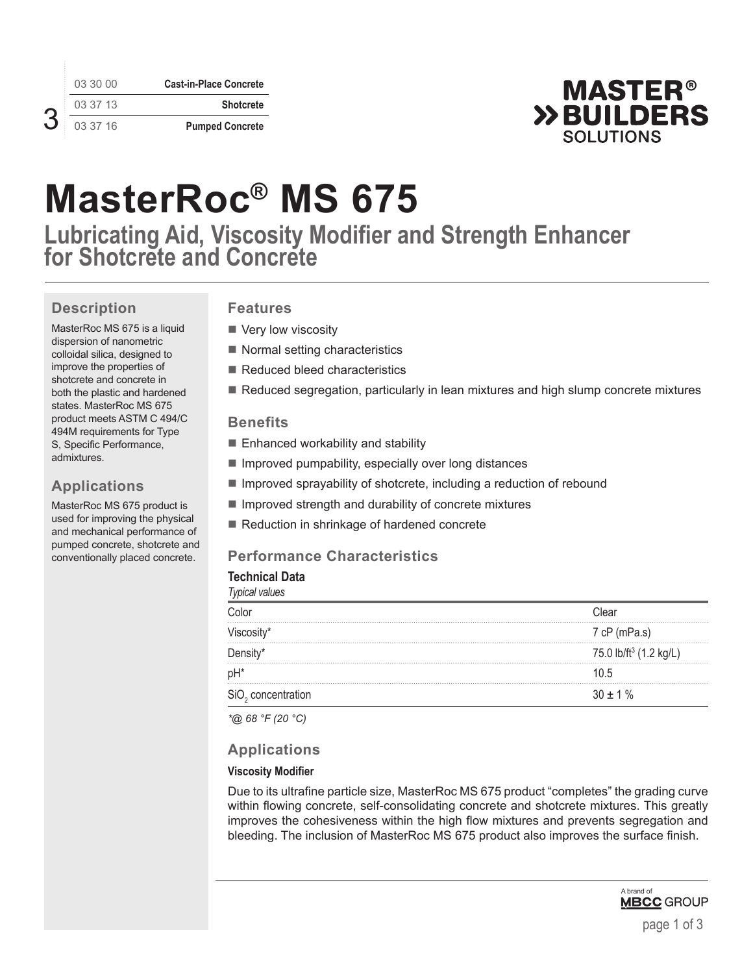|  | 03 30 00 | <b>Cast-in-Place Concrete</b> |
|--|----------|-------------------------------|
|  | 03 37 13 | <b>Shotcrete</b>              |
|  | 03 37 16 | <b>Pumped Concrete</b>        |



# **MasterRoc® MS 675**

**Lubricating Aid, Viscosity Modifier and Strength Enhancer for Shotcrete and Concrete**

# **Description**

MasterRoc MS 675 is a liquid dispersion of nanometric colloidal silica, designed to improve the properties of shotcrete and concrete in both the plastic and hardened states. MasterRoc MS 675 product meets ASTM C 494/C 494M requirements for Type S, Specific Performance, admixtures.

# **Applications**

MasterRoc MS 675 product is used for improving the physical and mechanical performance of pumped concrete, shotcrete and conventionally placed concrete.

# **Features**

- Very low viscosity
- Normal setting characteristics
- Reduced bleed characteristics
- Reduced segregation, particularly in lean mixtures and high slump concrete mixtures

# **Benefits**

- Enhanced workability and stability
- $\blacksquare$  Improved pumpability, especially over long distances
- $\blacksquare$  Improved sprayability of shotcrete, including a reduction of rebound
- **Improved strength and durability of concrete mixtures**
- Reduction in shrinkage of hardened concrete

# **Performance Characteristics**

#### **Technical Data** *Typical values*

| <i>iypical values</i>              |  |  |
|------------------------------------|--|--|
| ∵lea⊦                              |  |  |
| 7 cP (mPa.s)                       |  |  |
| 75.0 lb/ft <sup>3</sup> (1.2 kg/L) |  |  |
| 1በ 5                               |  |  |
| $30 + 1\%$                         |  |  |
|                                    |  |  |

*\*@ 68 °F (20 °C)*

# **Applications**

### **Viscosity Modifier**

Due to its ultrafine particle size, MasterRoc MS 675 product "completes" the grading curve within flowing concrete, self-consolidating concrete and shotcrete mixtures. This greatly improves the cohesiveness within the high flow mixtures and prevents segregation and bleeding. The inclusion of MasterRoc MS 675 product also improves the surface finish.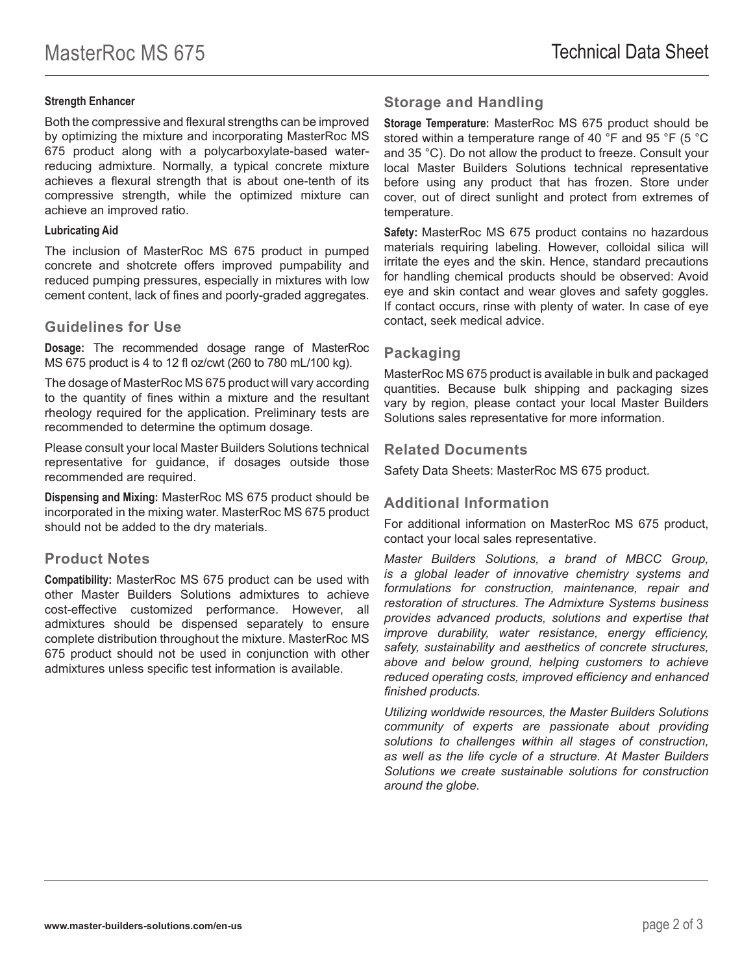#### **Strength Enhancer**

Both the compressive and flexural strengths can be improved by optimizing the mixture and incorporating MasterRoc MS 675 product along with a polycarboxylate-based waterreducing admixture. Normally, a typical concrete mixture achieves a flexural strength that is about one-tenth of its compressive strength, while the optimized mixture can achieve an improved ratio.

#### **Lubricating Aid**

The inclusion of MasterRoc MS 675 product in pumped concrete and shotcrete offers improved pumpability and reduced pumping pressures, especially in mixtures with low cement content, lack of fines and poorly-graded aggregates.

#### **Guidelines for Use**

**Dosage:** The recommended dosage range of MasterRoc MS 675 product is 4 to 12 fl oz/cwt (260 to 780 mL/100 kg).

The dosage of MasterRoc MS 675 product will vary according to the quantity of fines within a mixture and the resultant rheology required for the application. Preliminary tests are recommended to determine the optimum dosage.

Please consult your local Master Builders Solutions technical representative for guidance, if dosages outside those recommended are required.

**Dispensing and Mixing:** MasterRoc MS 675 product should be incorporated in the mixing water. MasterRoc MS 675 product should not be added to the dry materials.

### **Product Notes**

**Compatibility:** MasterRoc MS 675 product can be used with other Master Builders Solutions admixtures to achieve cost-effective customized performance. However, all admixtures should be dispensed separately to ensure complete distribution throughout the mixture. MasterRoc MS 675 product should not be used in conjunction with other admixtures unless specific test information is available.

# **Storage and Handling**

**Storage Temperature:** MasterRoc MS 675 product should be stored within a temperature range of 40 °F and 95 °F (5 °C and 35 °C). Do not allow the product to freeze. Consult your local Master Builders Solutions technical representative before using any product that has frozen. Store under cover, out of direct sunlight and protect from extremes of temperature.

**Safety:** MasterRoc MS 675 product contains no hazardous materials requiring labeling. However, colloidal silica will irritate the eyes and the skin. Hence, standard precautions for handling chemical products should be observed: Avoid eye and skin contact and wear gloves and safety goggles. If contact occurs, rinse with plenty of water. In case of eye contact, seek medical advice.

# **Packaging**

MasterRoc MS 675 product is available in bulk and packaged quantities. Because bulk shipping and packaging sizes vary by region, please contact your local Master Builders Solutions sales representative for more information.

### **Related Documents**

Safety Data Sheets: MasterRoc MS 675 product.

# **Additional Information**

For additional information on MasterRoc MS 675 product, contact your local sales representative.

*Master Builders Solutions, a brand of MBCC Group, is a global leader of innovative chemistry systems and formulations for construction, maintenance, repair and restoration of structures. The Admixture Systems business provides advanced products, solutions and expertise that improve durability, water resistance, energy efficiency, safety, sustainability and aesthetics of concrete structures, above and below ground, helping customers to achieve reduced operating costs, improved efficiency and enhanced finished products.* 

*Utilizing worldwide resources, the Master Builders Solutions community of experts are passionate about providing solutions to challenges within all stages of construction, as well as the life cycle of a structure. At Master Builders Solutions we create sustainable solutions for construction around the globe.*